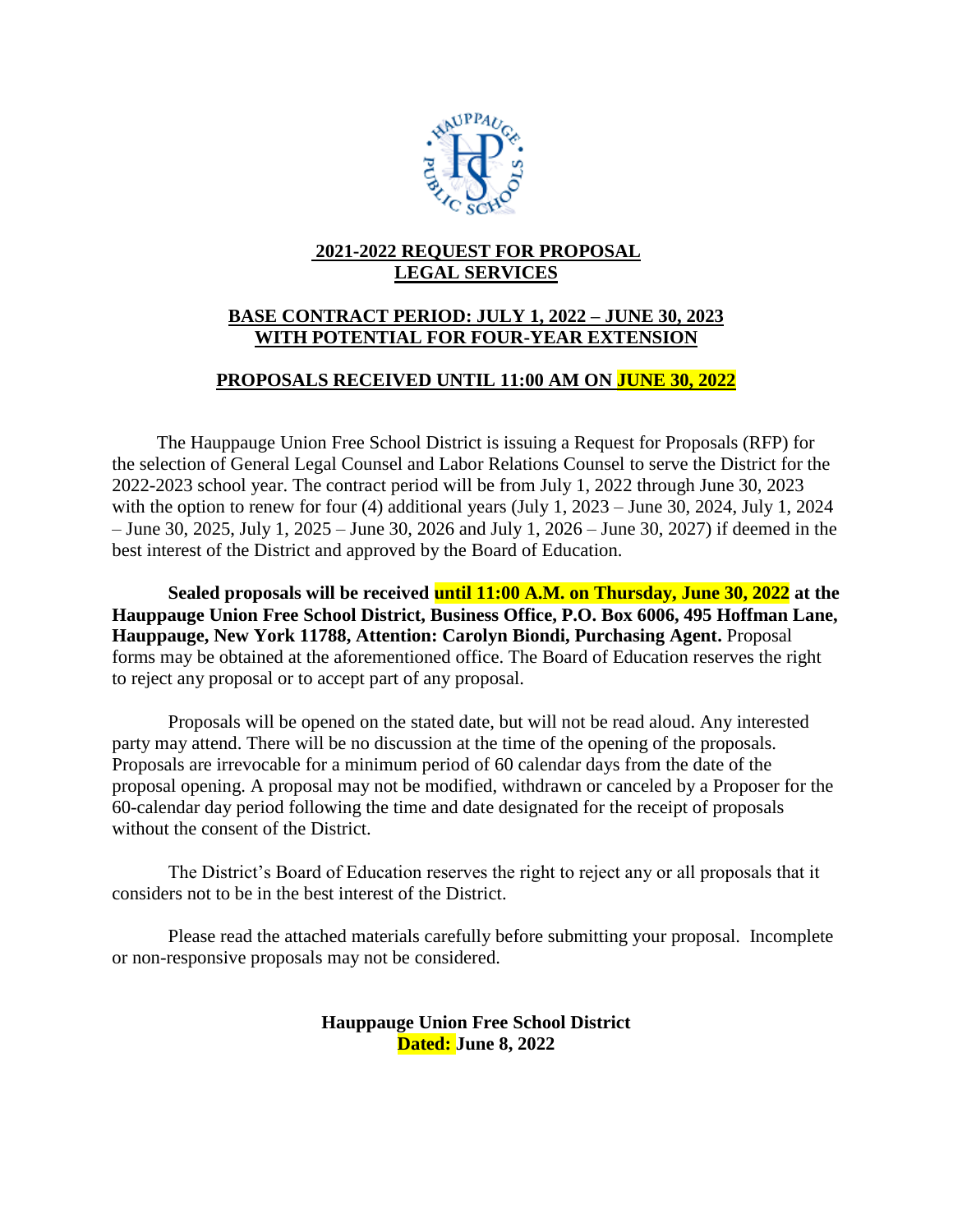

# **2021-2022 REQUEST FOR PROPOSAL LEGAL SERVICES**

# **BASE CONTRACT PERIOD: JULY 1, 2022 – JUNE 30, 2023 WITH POTENTIAL FOR FOUR-YEAR EXTENSION**

## **PROPOSALS RECEIVED UNTIL 11:00 AM ON JUNE 30, 2022**

The Hauppauge Union Free School District is issuing a Request for Proposals (RFP) for the selection of General Legal Counsel and Labor Relations Counsel to serve the District for the 2022-2023 school year. The contract period will be from July 1, 2022 through June 30, 2023 with the option to renew for four (4) additional years (July 1, 2023 – June 30, 2024, July 1, 2024 – June 30, 2025, July 1, 2025 – June 30, 2026 and July 1, 2026 – June 30, 2027) if deemed in the best interest of the District and approved by the Board of Education.

**Sealed proposals will be received until 11:00 A.M. on Thursday, June 30, 2022 at the Hauppauge Union Free School District, Business Office, P.O. Box 6006, 495 Hoffman Lane, Hauppauge, New York 11788, Attention: Carolyn Biondi, Purchasing Agent.** Proposal forms may be obtained at the aforementioned office. The Board of Education reserves the right to reject any proposal or to accept part of any proposal.

Proposals will be opened on the stated date, but will not be read aloud. Any interested party may attend. There will be no discussion at the time of the opening of the proposals. Proposals are irrevocable for a minimum period of 60 calendar days from the date of the proposal opening. A proposal may not be modified, withdrawn or canceled by a Proposer for the 60-calendar day period following the time and date designated for the receipt of proposals without the consent of the District.

The District's Board of Education reserves the right to reject any or all proposals that it considers not to be in the best interest of the District.

Please read the attached materials carefully before submitting your proposal. Incomplete or non-responsive proposals may not be considered.

> **Hauppauge Union Free School District Dated: June 8, 2022**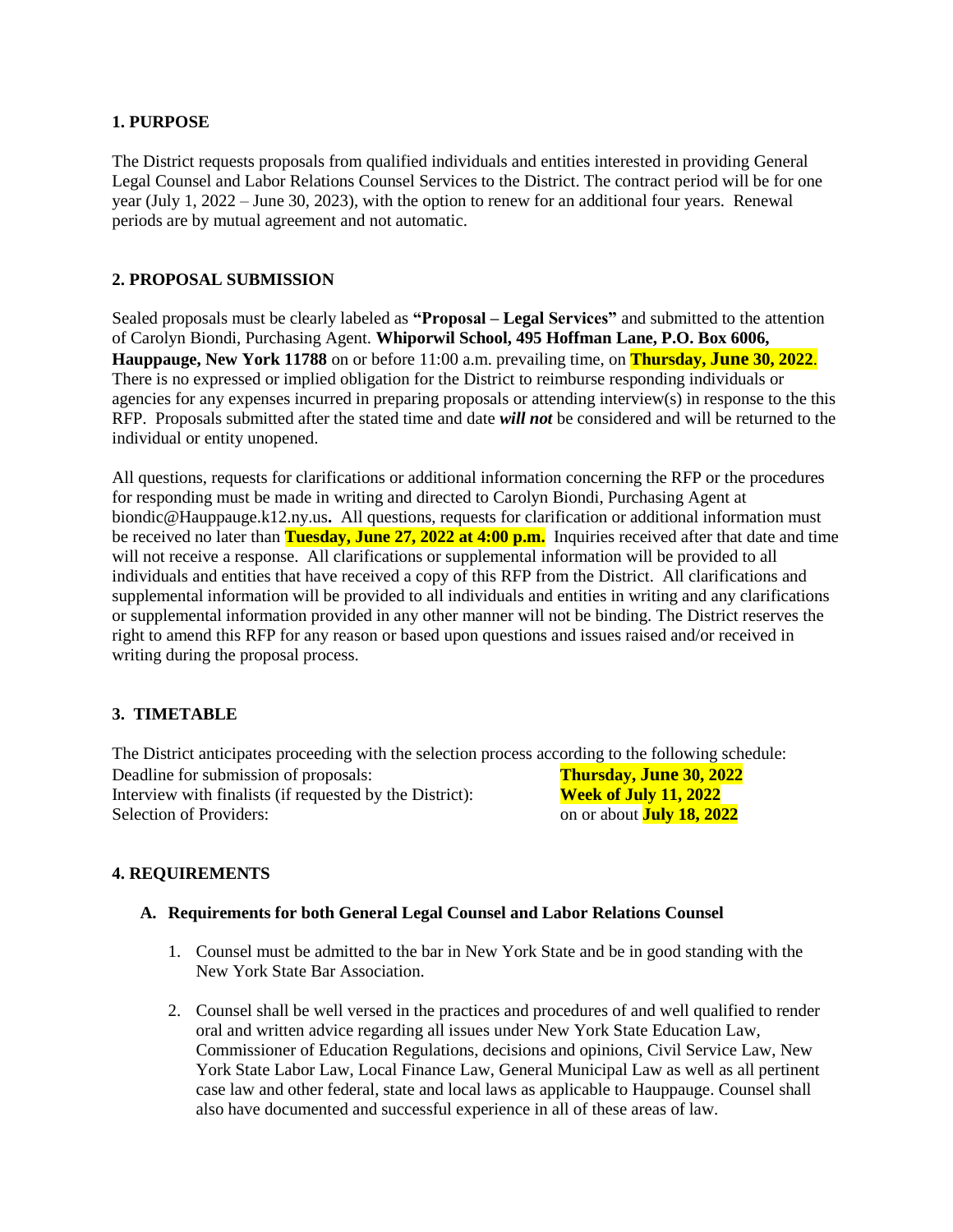#### **1. PURPOSE**

The District requests proposals from qualified individuals and entities interested in providing General Legal Counsel and Labor Relations Counsel Services to the District. The contract period will be for one year (July 1, 2022 – June 30, 2023), with the option to renew for an additional four years. Renewal periods are by mutual agreement and not automatic.

#### **2. PROPOSAL SUBMISSION**

Sealed proposals must be clearly labeled as **"Proposal – Legal Services"** and submitted to the attention of Carolyn Biondi, Purchasing Agent. **Whiporwil School, 495 Hoffman Lane, P.O. Box 6006, Hauppauge, New York 11788** on or before 11:00 a.m. prevailing time, on **Thursday, June 30, 2022**. There is no expressed or implied obligation for the District to reimburse responding individuals or agencies for any expenses incurred in preparing proposals or attending interview(s) in response to the this RFP. Proposals submitted after the stated time and date *will not* be considered and will be returned to the individual or entity unopened.

All questions, requests for clarifications or additional information concerning the RFP or the procedures for responding must be made in writing and directed to Carolyn Biondi, Purchasing Agent at biondic@Hauppauge.k12.ny.us**.** All questions, requests for clarification or additional information must be received no later than **Tuesday, June 27, 2022 at 4:00 p.m.** Inquiries received after that date and time will not receive a response. All clarifications or supplemental information will be provided to all individuals and entities that have received a copy of this RFP from the District. All clarifications and supplemental information will be provided to all individuals and entities in writing and any clarifications or supplemental information provided in any other manner will not be binding. The District reserves the right to amend this RFP for any reason or based upon questions and issues raised and/or received in writing during the proposal process.

## **3. TIMETABLE**

The District anticipates proceeding with the selection process according to the following schedule: Deadline for submission of proposals: **Thursday, June 30, 2022** Interview with finalists (if requested by the District): **Week of July 11, 2022** Selection of Providers: **on or about July 18, 2022** 

## **4. REQUIREMENTS**

#### **A. Requirements for both General Legal Counsel and Labor Relations Counsel**

- 1. Counsel must be admitted to the bar in New York State and be in good standing with the New York State Bar Association.
- 2. Counsel shall be well versed in the practices and procedures of and well qualified to render oral and written advice regarding all issues under New York State Education Law, Commissioner of Education Regulations, decisions and opinions, Civil Service Law, New York State Labor Law, Local Finance Law, General Municipal Law as well as all pertinent case law and other federal, state and local laws as applicable to Hauppauge. Counsel shall also have documented and successful experience in all of these areas of law.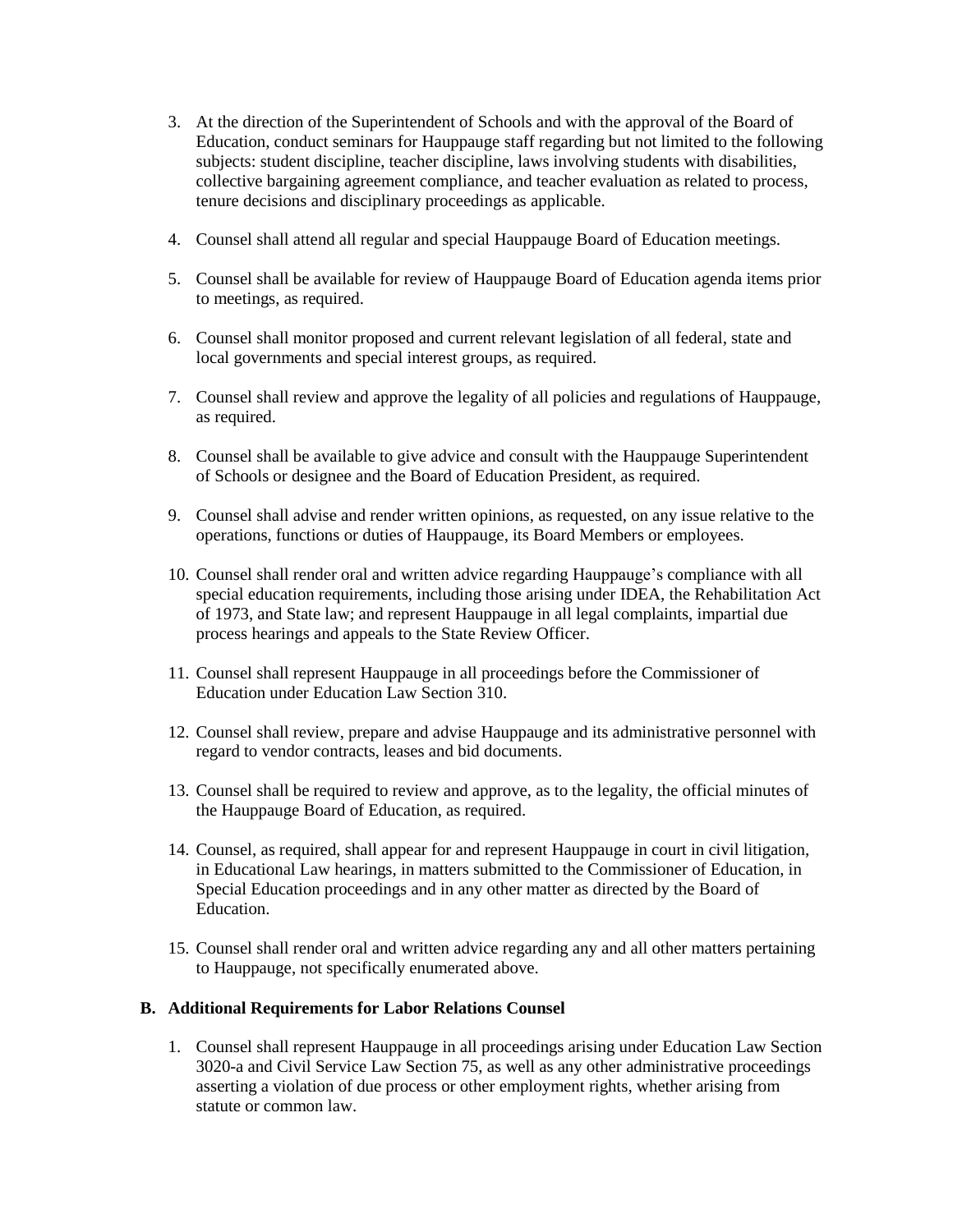- 3. At the direction of the Superintendent of Schools and with the approval of the Board of Education, conduct seminars for Hauppauge staff regarding but not limited to the following subjects: student discipline, teacher discipline, laws involving students with disabilities, collective bargaining agreement compliance, and teacher evaluation as related to process, tenure decisions and disciplinary proceedings as applicable.
- 4. Counsel shall attend all regular and special Hauppauge Board of Education meetings.
- 5. Counsel shall be available for review of Hauppauge Board of Education agenda items prior to meetings, as required.
- 6. Counsel shall monitor proposed and current relevant legislation of all federal, state and local governments and special interest groups, as required.
- 7. Counsel shall review and approve the legality of all policies and regulations of Hauppauge, as required.
- 8. Counsel shall be available to give advice and consult with the Hauppauge Superintendent of Schools or designee and the Board of Education President, as required.
- 9. Counsel shall advise and render written opinions, as requested, on any issue relative to the operations, functions or duties of Hauppauge, its Board Members or employees.
- 10. Counsel shall render oral and written advice regarding Hauppauge's compliance with all special education requirements, including those arising under IDEA, the Rehabilitation Act of 1973, and State law; and represent Hauppauge in all legal complaints, impartial due process hearings and appeals to the State Review Officer.
- 11. Counsel shall represent Hauppauge in all proceedings before the Commissioner of Education under Education Law Section 310.
- 12. Counsel shall review, prepare and advise Hauppauge and its administrative personnel with regard to vendor contracts, leases and bid documents.
- 13. Counsel shall be required to review and approve, as to the legality, the official minutes of the Hauppauge Board of Education, as required.
- 14. Counsel, as required, shall appear for and represent Hauppauge in court in civil litigation, in Educational Law hearings, in matters submitted to the Commissioner of Education, in Special Education proceedings and in any other matter as directed by the Board of Education.
- 15. Counsel shall render oral and written advice regarding any and all other matters pertaining to Hauppauge, not specifically enumerated above.

#### **B. Additional Requirements for Labor Relations Counsel**

1. Counsel shall represent Hauppauge in all proceedings arising under Education Law Section 3020-a and Civil Service Law Section 75, as well as any other administrative proceedings asserting a violation of due process or other employment rights, whether arising from statute or common law.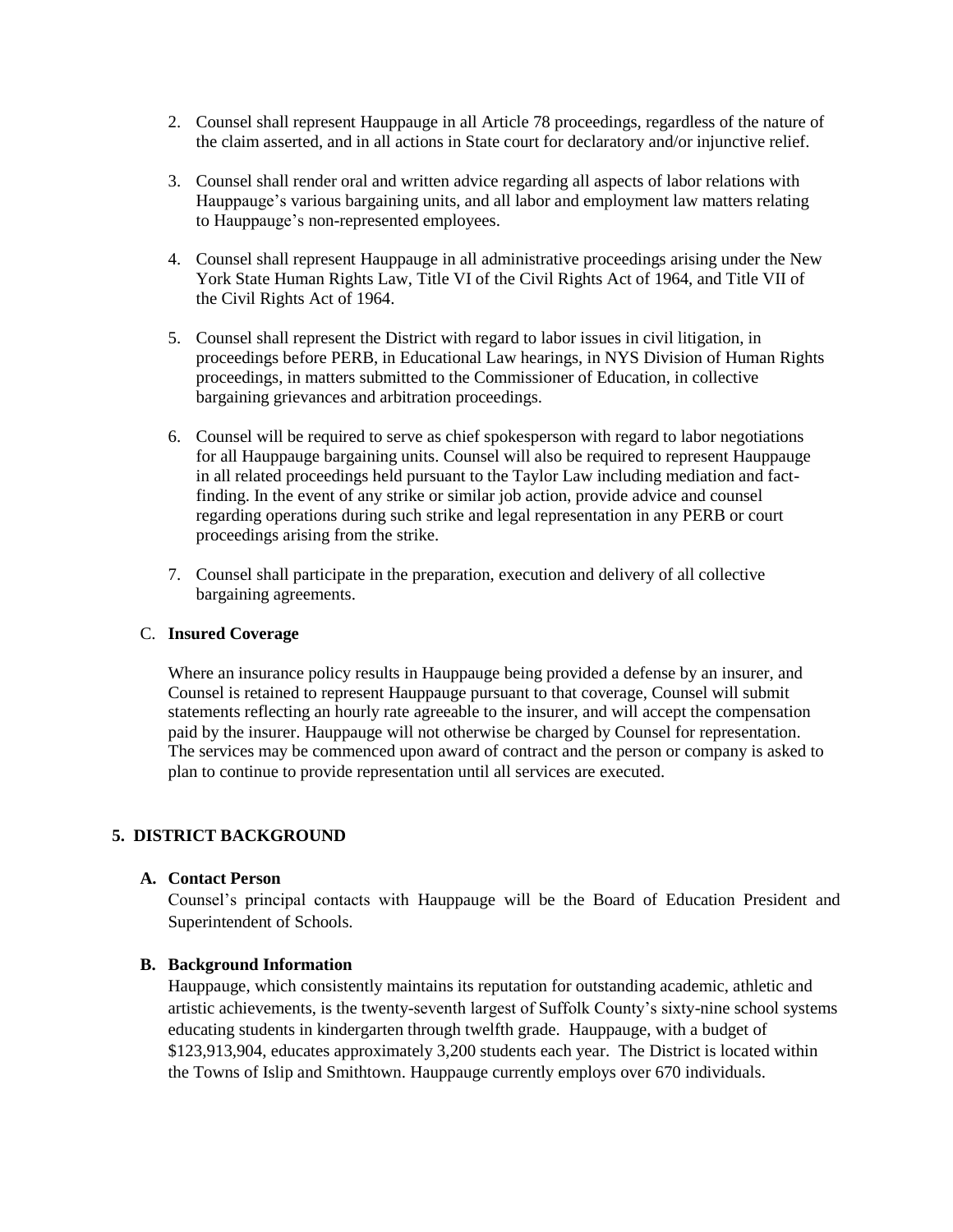- 2. Counsel shall represent Hauppauge in all Article 78 proceedings, regardless of the nature of the claim asserted, and in all actions in State court for declaratory and/or injunctive relief.
- 3. Counsel shall render oral and written advice regarding all aspects of labor relations with Hauppauge's various bargaining units, and all labor and employment law matters relating to Hauppauge's non-represented employees.
- 4. Counsel shall represent Hauppauge in all administrative proceedings arising under the New York State Human Rights Law, Title VI of the Civil Rights Act of 1964, and Title VII of the Civil Rights Act of 1964.
- 5. Counsel shall represent the District with regard to labor issues in civil litigation, in proceedings before PERB, in Educational Law hearings, in NYS Division of Human Rights proceedings, in matters submitted to the Commissioner of Education, in collective bargaining grievances and arbitration proceedings.
- 6. Counsel will be required to serve as chief spokesperson with regard to labor negotiations for all Hauppauge bargaining units. Counsel will also be required to represent Hauppauge in all related proceedings held pursuant to the Taylor Law including mediation and factfinding. In the event of any strike or similar job action, provide advice and counsel regarding operations during such strike and legal representation in any PERB or court proceedings arising from the strike.
- 7. Counsel shall participate in the preparation, execution and delivery of all collective bargaining agreements.

#### C. **Insured Coverage**

Where an insurance policy results in Hauppauge being provided a defense by an insurer, and Counsel is retained to represent Hauppauge pursuant to that coverage, Counsel will submit statements reflecting an hourly rate agreeable to the insurer, and will accept the compensation paid by the insurer. Hauppauge will not otherwise be charged by Counsel for representation. The services may be commenced upon award of contract and the person or company is asked to plan to continue to provide representation until all services are executed.

## **5. DISTRICT BACKGROUND**

#### **A. Contact Person**

Counsel's principal contacts with Hauppauge will be the Board of Education President and Superintendent of Schools.

#### **B. Background Information**

Hauppauge, which consistently maintains its reputation for outstanding academic, athletic and artistic achievements, is the twenty-seventh largest of Suffolk County's sixty-nine school systems educating students in kindergarten through twelfth grade. Hauppauge, with a budget of \$123,913,904, educates approximately 3,200 students each year. The District is located within the Towns of Islip and Smithtown. Hauppauge currently employs over 670 individuals.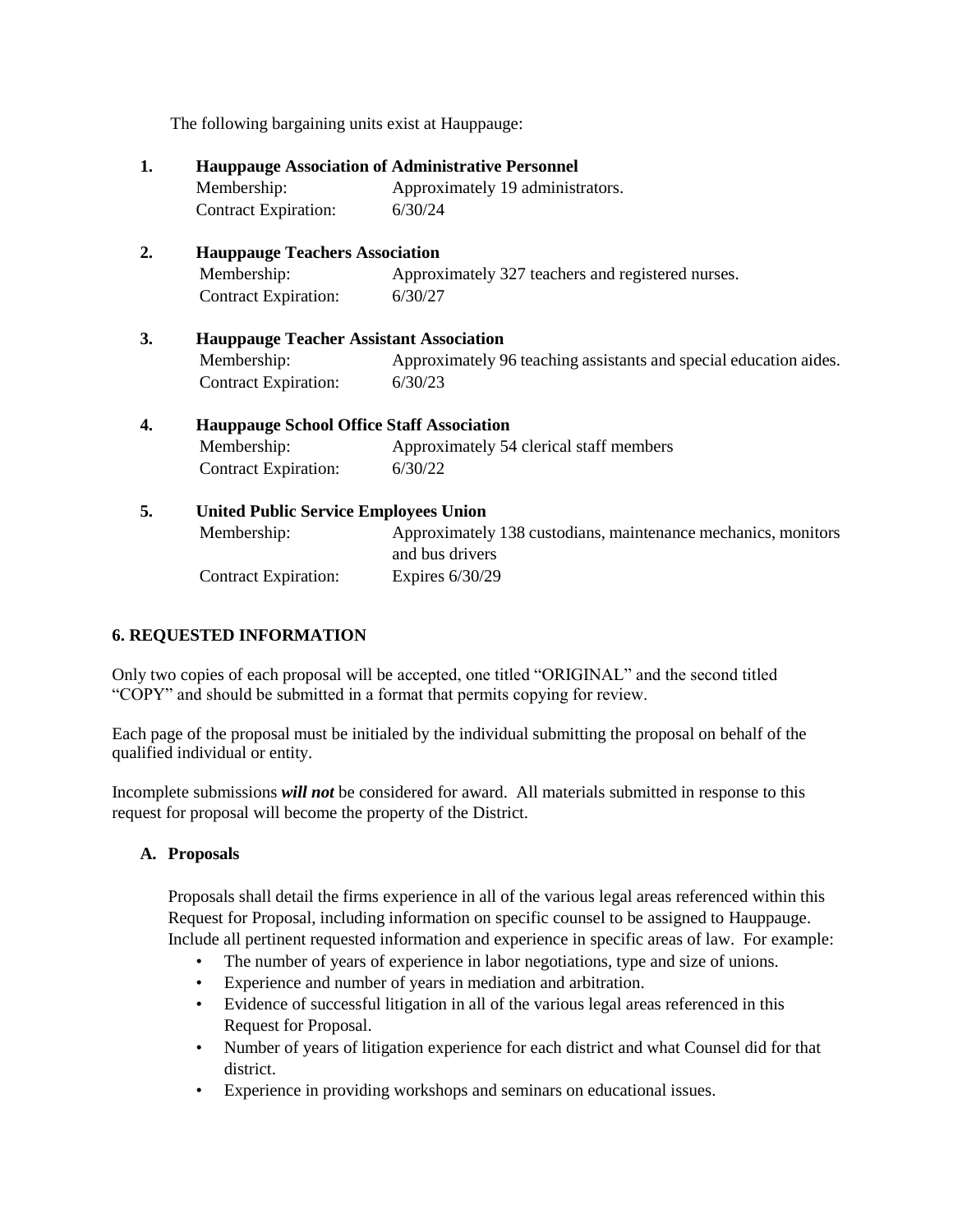The following bargaining units exist at Hauppauge:

| 1. | <b>Hauppauge Association of Administrative Personnel</b> |                                                                   |  |  |
|----|----------------------------------------------------------|-------------------------------------------------------------------|--|--|
|    | Membership:                                              | Approximately 19 administrators.                                  |  |  |
|    | Contract Expiration:                                     | 6/30/24                                                           |  |  |
| 2. | <b>Hauppauge Teachers Association</b>                    |                                                                   |  |  |
|    | Membership:                                              | Approximately 327 teachers and registered nurses.                 |  |  |
|    | <b>Contract Expiration:</b>                              | 6/30/27                                                           |  |  |
| 3. | <b>Hauppauge Teacher Assistant Association</b>           |                                                                   |  |  |
|    | Membership:                                              | Approximately 96 teaching assistants and special education aides. |  |  |
|    | <b>Contract Expiration:</b>                              | 6/30/23                                                           |  |  |
| 4. | <b>Hauppauge School Office Staff Association</b>         |                                                                   |  |  |
|    | Membership:                                              | Approximately 54 clerical staff members                           |  |  |
|    | <b>Contract Expiration:</b>                              | 6/30/22                                                           |  |  |
| 5. | <b>United Public Service Employees Union</b>             |                                                                   |  |  |
|    | Membership:                                              | Approximately 138 custodians, maintenance mechanics, monitors     |  |  |
|    |                                                          | and bus drivers                                                   |  |  |
|    | <b>Contract Expiration:</b>                              | Expires $6/30/29$                                                 |  |  |

## **6. REQUESTED INFORMATION**

Only two copies of each proposal will be accepted, one titled "ORIGINAL" and the second titled "COPY" and should be submitted in a format that permits copying for review.

Each page of the proposal must be initialed by the individual submitting the proposal on behalf of the qualified individual or entity.

Incomplete submissions *will not* be considered for award. All materials submitted in response to this request for proposal will become the property of the District.

#### **A. Proposals**

Proposals shall detail the firms experience in all of the various legal areas referenced within this Request for Proposal, including information on specific counsel to be assigned to Hauppauge. Include all pertinent requested information and experience in specific areas of law. For example:

- The number of years of experience in labor negotiations, type and size of unions.
- Experience and number of years in mediation and arbitration.
- Evidence of successful litigation in all of the various legal areas referenced in this Request for Proposal.
- Number of years of litigation experience for each district and what Counsel did for that district.
- Experience in providing workshops and seminars on educational issues.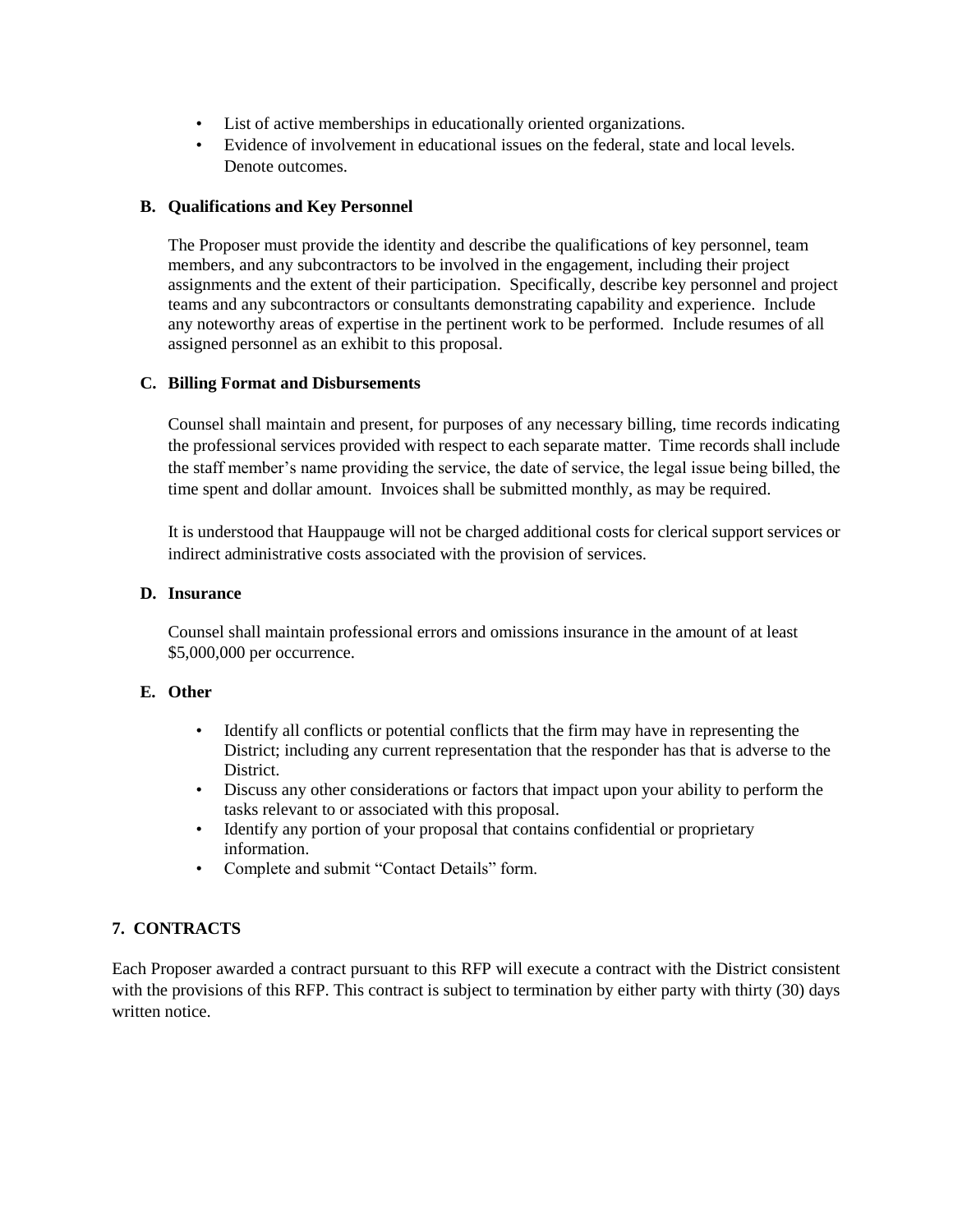- List of active memberships in educationally oriented organizations.
- Evidence of involvement in educational issues on the federal, state and local levels. Denote outcomes.

#### **B. Qualifications and Key Personnel**

The Proposer must provide the identity and describe the qualifications of key personnel, team members, and any subcontractors to be involved in the engagement, including their project assignments and the extent of their participation. Specifically, describe key personnel and project teams and any subcontractors or consultants demonstrating capability and experience. Include any noteworthy areas of expertise in the pertinent work to be performed. Include resumes of all assigned personnel as an exhibit to this proposal.

#### **C. Billing Format and Disbursements**

Counsel shall maintain and present, for purposes of any necessary billing, time records indicating the professional services provided with respect to each separate matter. Time records shall include the staff member's name providing the service, the date of service, the legal issue being billed, the time spent and dollar amount. Invoices shall be submitted monthly, as may be required.

It is understood that Hauppauge will not be charged additional costs for clerical support services or indirect administrative costs associated with the provision of services.

#### **D. Insurance**

Counsel shall maintain professional errors and omissions insurance in the amount of at least \$5,000,000 per occurrence.

## **E. Other**

- Identify all conflicts or potential conflicts that the firm may have in representing the District; including any current representation that the responder has that is adverse to the District.
- Discuss any other considerations or factors that impact upon your ability to perform the tasks relevant to or associated with this proposal.
- Identify any portion of your proposal that contains confidential or proprietary information.
- Complete and submit "Contact Details" form.

# **7. CONTRACTS**

Each Proposer awarded a contract pursuant to this RFP will execute a contract with the District consistent with the provisions of this RFP. This contract is subject to termination by either party with thirty (30) days written notice.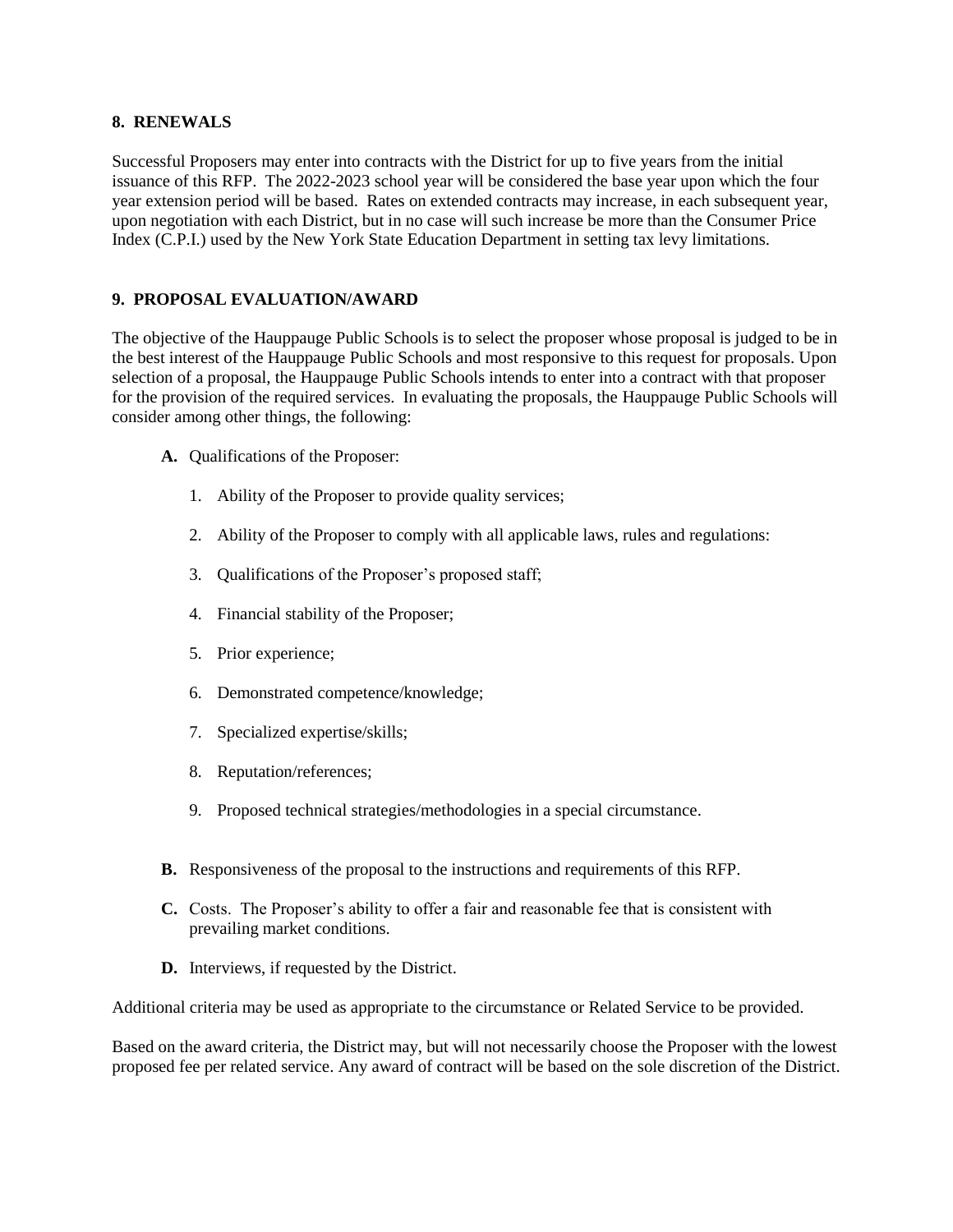#### **8. RENEWALS**

Successful Proposers may enter into contracts with the District for up to five years from the initial issuance of this RFP. The 2022-2023 school year will be considered the base year upon which the four year extension period will be based. Rates on extended contracts may increase, in each subsequent year, upon negotiation with each District, but in no case will such increase be more than the Consumer Price Index (C.P.I.) used by the New York State Education Department in setting tax levy limitations.

#### **9. PROPOSAL EVALUATION/AWARD**

The objective of the Hauppauge Public Schools is to select the proposer whose proposal is judged to be in the best interest of the Hauppauge Public Schools and most responsive to this request for proposals. Upon selection of a proposal, the Hauppauge Public Schools intends to enter into a contract with that proposer for the provision of the required services. In evaluating the proposals, the Hauppauge Public Schools will consider among other things, the following:

- **A.** Qualifications of the Proposer:
	- 1. Ability of the Proposer to provide quality services;
	- 2. Ability of the Proposer to comply with all applicable laws, rules and regulations:
	- 3. Qualifications of the Proposer's proposed staff;
	- 4. Financial stability of the Proposer;
	- 5. Prior experience;
	- 6. Demonstrated competence/knowledge;
	- 7. Specialized expertise/skills;
	- 8. Reputation/references;
	- 9. Proposed technical strategies/methodologies in a special circumstance.
- **B.** Responsiveness of the proposal to the instructions and requirements of this RFP.
- **C.** Costs. The Proposer's ability to offer a fair and reasonable fee that is consistent with prevailing market conditions.
- **D.** Interviews, if requested by the District.

Additional criteria may be used as appropriate to the circumstance or Related Service to be provided.

Based on the award criteria, the District may, but will not necessarily choose the Proposer with the lowest proposed fee per related service. Any award of contract will be based on the sole discretion of the District.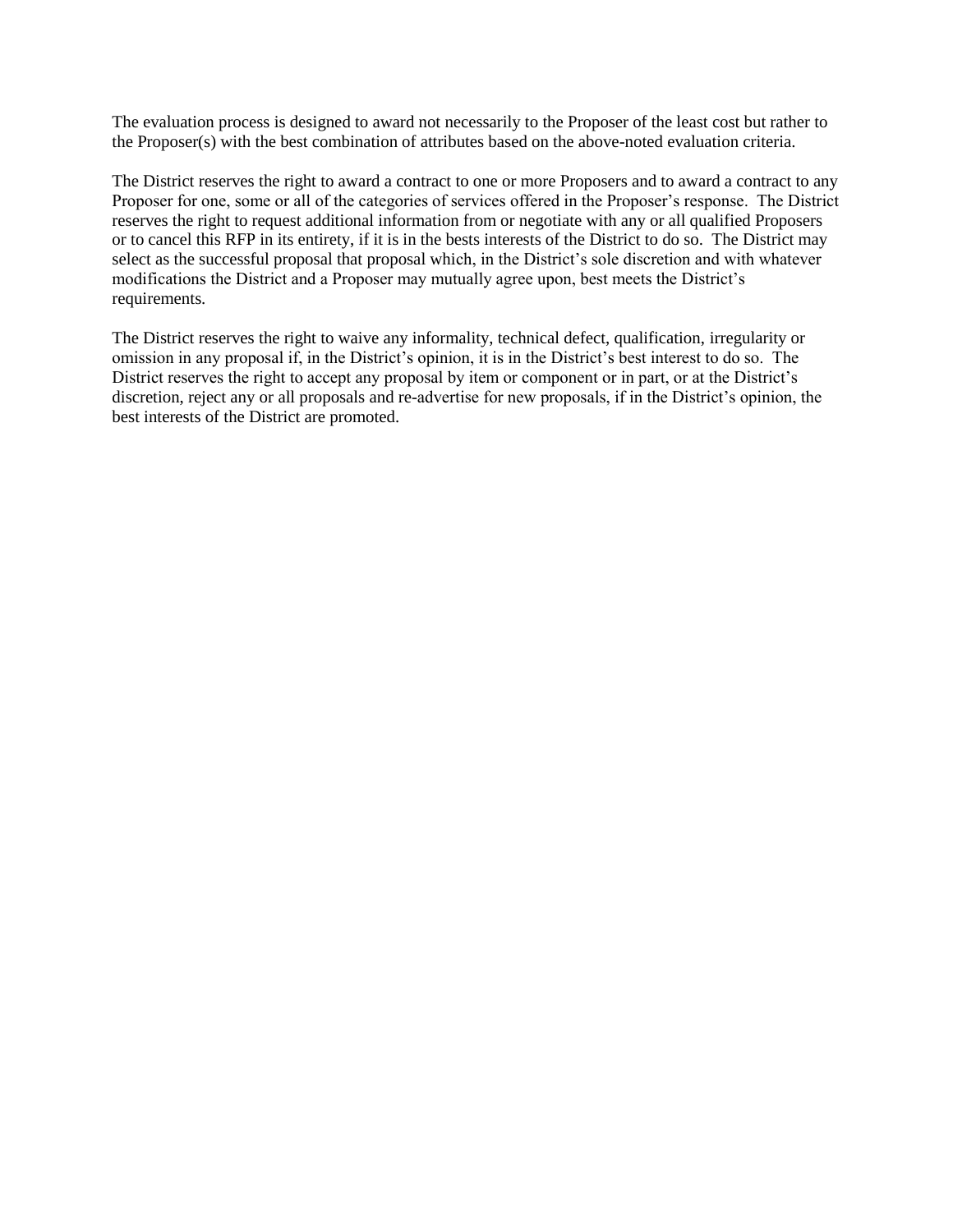The evaluation process is designed to award not necessarily to the Proposer of the least cost but rather to the Proposer(s) with the best combination of attributes based on the above-noted evaluation criteria.

The District reserves the right to award a contract to one or more Proposers and to award a contract to any Proposer for one, some or all of the categories of services offered in the Proposer's response. The District reserves the right to request additional information from or negotiate with any or all qualified Proposers or to cancel this RFP in its entirety, if it is in the bests interests of the District to do so. The District may select as the successful proposal that proposal which, in the District's sole discretion and with whatever modifications the District and a Proposer may mutually agree upon, best meets the District's requirements.

The District reserves the right to waive any informality, technical defect, qualification, irregularity or omission in any proposal if, in the District's opinion, it is in the District's best interest to do so. The District reserves the right to accept any proposal by item or component or in part, or at the District's discretion, reject any or all proposals and re-advertise for new proposals, if in the District's opinion, the best interests of the District are promoted.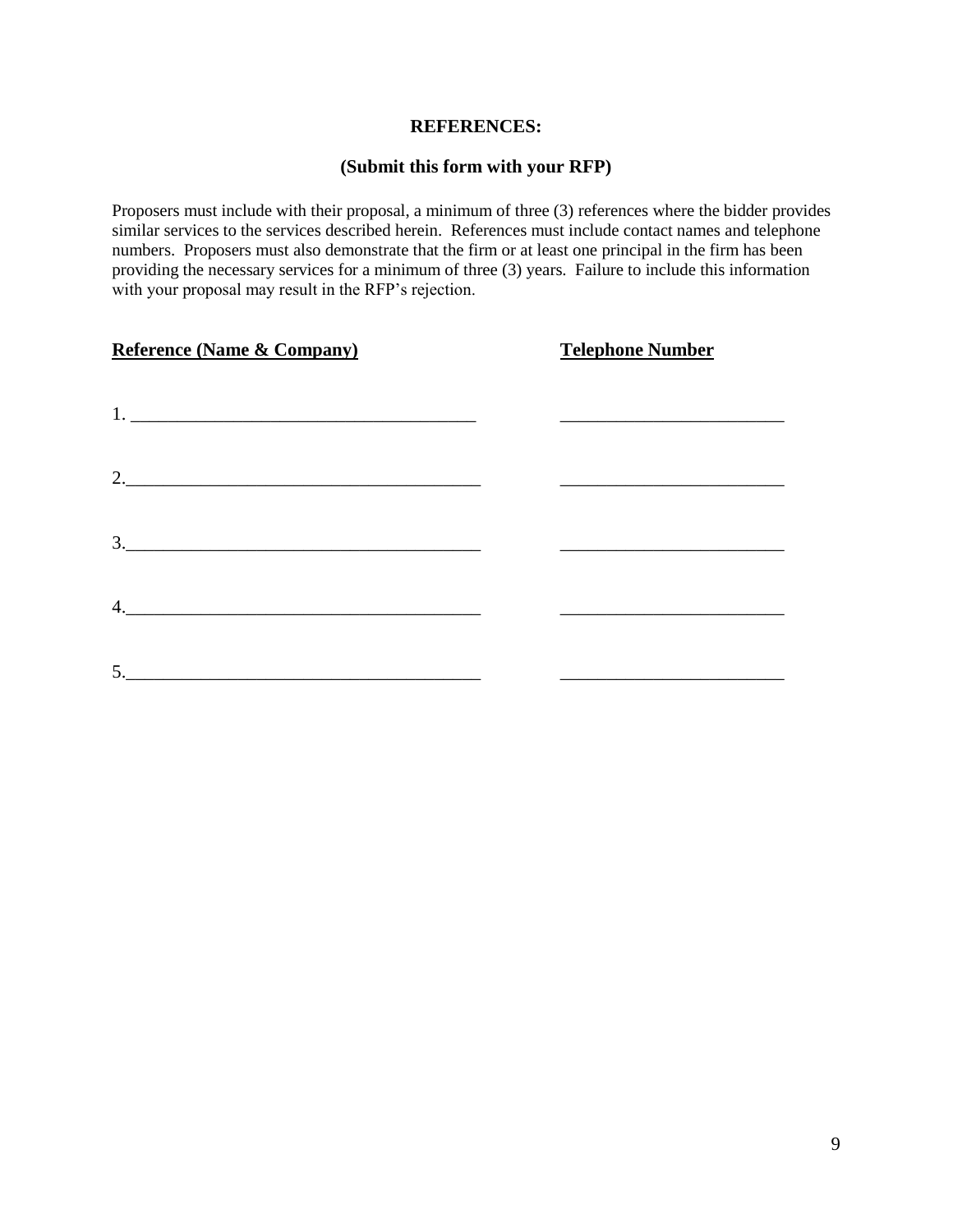#### **REFERENCES:**

## **(Submit this form with your RFP)**

Proposers must include with their proposal, a minimum of three (3) references where the bidder provides similar services to the services described herein. References must include contact names and telephone numbers. Proposers must also demonstrate that the firm or at least one principal in the firm has been providing the necessary services for a minimum of three (3) years. Failure to include this information with your proposal may result in the RFP's rejection.

| <b>Reference (Name &amp; Company)</b>                                                                                                                                                                                                                                                                                  | <b>Telephone Number</b> |
|------------------------------------------------------------------------------------------------------------------------------------------------------------------------------------------------------------------------------------------------------------------------------------------------------------------------|-------------------------|
|                                                                                                                                                                                                                                                                                                                        |                         |
| 2. $\frac{1}{2}$ $\frac{1}{2}$ $\frac{1}{2}$ $\frac{1}{2}$ $\frac{1}{2}$ $\frac{1}{2}$ $\frac{1}{2}$ $\frac{1}{2}$ $\frac{1}{2}$ $\frac{1}{2}$ $\frac{1}{2}$ $\frac{1}{2}$ $\frac{1}{2}$ $\frac{1}{2}$ $\frac{1}{2}$ $\frac{1}{2}$ $\frac{1}{2}$ $\frac{1}{2}$ $\frac{1}{2}$ $\frac{1}{2}$ $\frac{1}{2}$ $\frac{1}{2}$ |                         |
| $\begin{array}{c} 3. \end{array}$                                                                                                                                                                                                                                                                                      |                         |
| 4.                                                                                                                                                                                                                                                                                                                     |                         |
|                                                                                                                                                                                                                                                                                                                        |                         |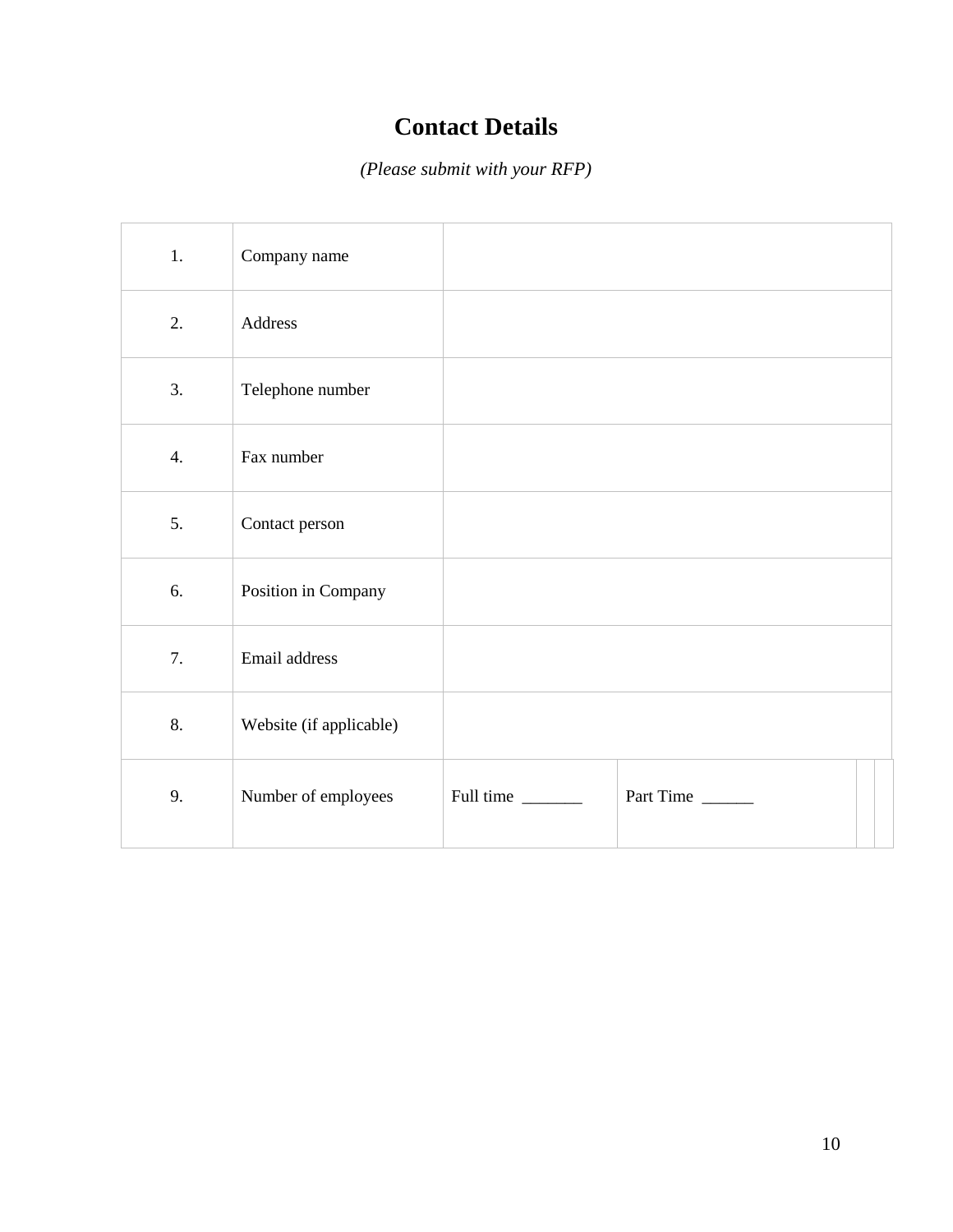# **Contact Details**

*(Please submit with your RFP)*

| 1.               | Company name            |           |           |
|------------------|-------------------------|-----------|-----------|
| 2.               | Address                 |           |           |
| 3.               | Telephone number        |           |           |
| $\overline{4}$ . | Fax number              |           |           |
| 5.               | Contact person          |           |           |
| 6.               | Position in Company     |           |           |
| 7.               | Email address           |           |           |
| 8.               | Website (if applicable) |           |           |
| 9.               | Number of employees     | Full time | Part Time |